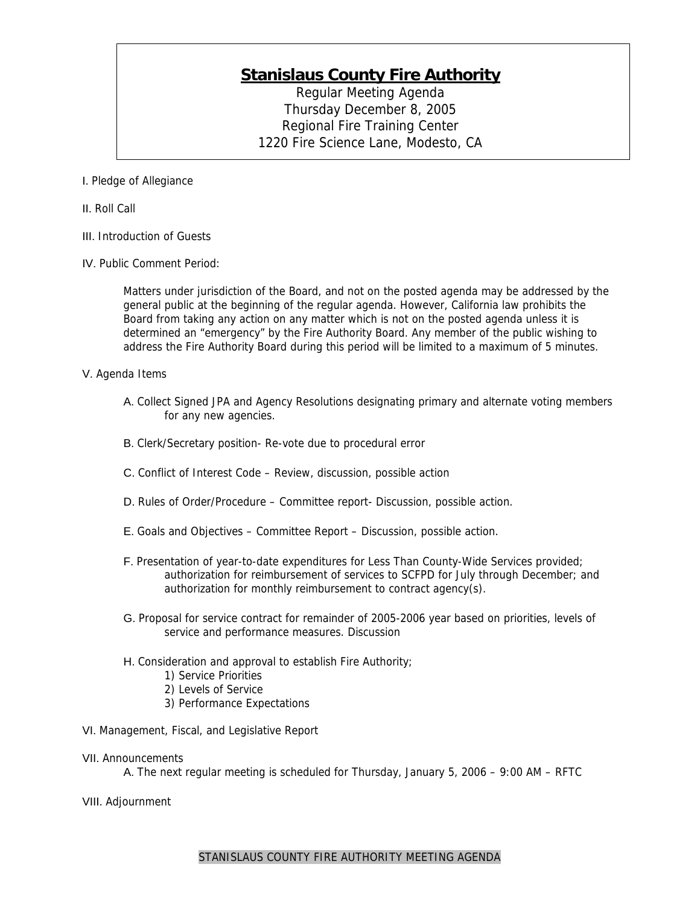## **Stanislaus County Fire Authority**

Regular Meeting Agenda Thursday December 8, 2005 Regional Fire Training Center 1220 Fire Science Lane, Modesto, CA

I. Pledge of Allegiance

- II. Roll Call
- III. Introduction of Guests
- IV. Public Comment Period:

Matters under jurisdiction of the Board, and not on the posted agenda may be addressed by the general public at the beginning of the regular agenda. However, California law prohibits the Board from taking any action on any matter which is not on the posted agenda unless it is determined an "emergency" by the Fire Authority Board. Any member of the public wishing to address the Fire Authority Board during this period will be limited to a maximum of 5 minutes.

## V. Agenda Items

- A. Collect Signed JPA and Agency Resolutions designating primary and alternate voting members for any new agencies.
- B. Clerk/Secretary position- Re-vote due to procedural error
- C. Conflict of Interest Code Review, discussion, possible action
- D. Rules of Order/Procedure Committee report- Discussion, possible action.
- E. Goals and Objectives Committee Report Discussion, possible action.
- F. Presentation of year-to-date expenditures for Less Than County-Wide Services provided; authorization for reimbursement of services to SCFPD for July through December; and authorization for monthly reimbursement to contract agency(s).
- G. Proposal for service contract for remainder of 2005-2006 year based on priorities, levels of service and performance measures. Discussion
- H. Consideration and approval to establish Fire Authority;
	- 1) Service Priorities
		- 2) Levels of Service
		- 3) Performance Expectations
- VI. Management, Fiscal, and Legislative Report
- VII. Announcements

A. The next regular meeting is scheduled for Thursday, January 5, 2006 – 9:00 AM – RFTC

VIII. Adjournment